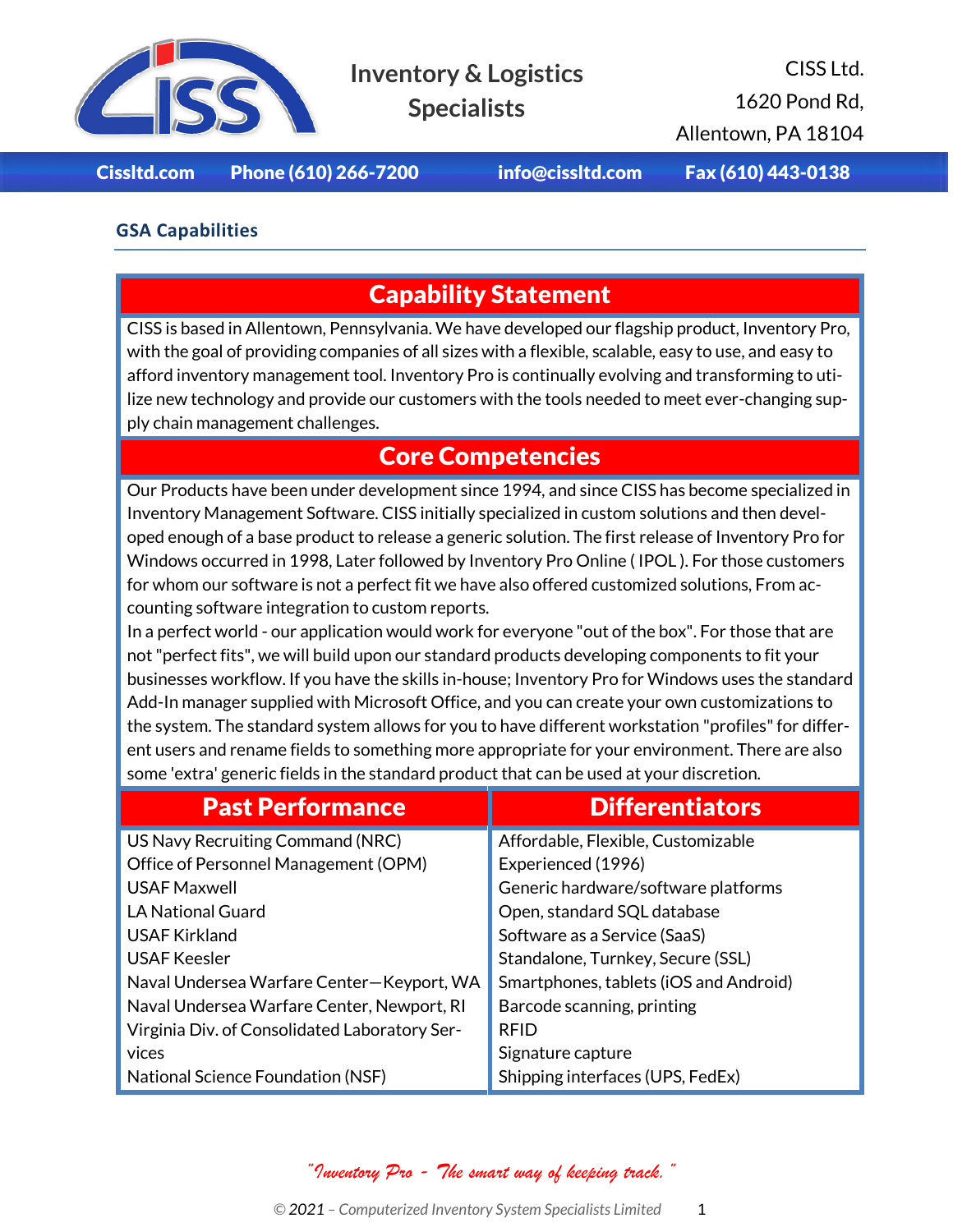

# **Inventory & Logistics**

**Specialists**

CISS Ltd. 1620 Pond Rd, Allentown, PA 18104

Cissltd.com Phone (610) 266-7200 [info@cissltd.com](mailto:info@cissltd.com) Fax (610) 443-0138

#### **GSA Capabilities**

### Capability Statement

CISS is based in Allentown, Pennsylvania. We have developed our flagship product, Inventory Pro, with the goal of providing companies of all sizes with a flexible, scalable, easy to use, and easy to afford inventory management tool. Inventory Pro is continually evolving and transforming to utilize new technology and provide our customers with the tools needed to meet ever-changing supply chain management challenges.

#### Core Competencies

Our Products have been under development since 1994, and since CISS has become specialized in Inventory Management Software. CISS initially specialized in custom solutions and then developed enough of a base product to release a generic solution. The first release of Inventory Pro for Windows occurred in 1998, Later followed by Inventory Pro Online ( IPOL ). For those customers for whom our software is not a perfect fit we have also offered customized solutions, From accounting software integration to custom reports.

In a perfect world - our application would work for everyone "out of the box". For those that are not "perfect fits", we will build upon our standard products developing components to fit your businesses workflow. If you have the skills in-house; Inventory Pro for Windows uses the standard Add-In manager supplied with Microsoft Office, and you can create your own customizations to the system. The standard system allows for you to have different workstation "profiles" for different users and rename fields to something more appropriate for your environment. There are also some 'extra' generic fields in the standard product that can be used at your discretion.

| <b>Past Performance</b>                       | <b>Differentiators</b>                 |  |
|-----------------------------------------------|----------------------------------------|--|
| US Navy Recruiting Command (NRC)              | Affordable, Flexible, Customizable     |  |
| Office of Personnel Management (OPM)          | Experienced (1996)                     |  |
| <b>USAF Maxwell</b>                           | Generic hardware/software platforms    |  |
| <b>LA National Guard</b>                      | Open, standard SQL database            |  |
| <b>USAF Kirkland</b>                          | Software as a Service (SaaS)           |  |
| <b>USAF Keesler</b>                           | Standalone, Turnkey, Secure (SSL)      |  |
| Naval Undersea Warfare Center-Keyport, WA     | Smartphones, tablets (iOS and Android) |  |
| Naval Undersea Warfare Center, Newport, RI    | Barcode scanning, printing             |  |
| Virginia Div. of Consolidated Laboratory Ser- | <b>RFID</b>                            |  |
| vices                                         | Signature capture                      |  |
| National Science Foundation (NSF)             | Shipping interfaces (UPS, FedEx)       |  |

*"Inventory Pro - The smart way of keeping track."*